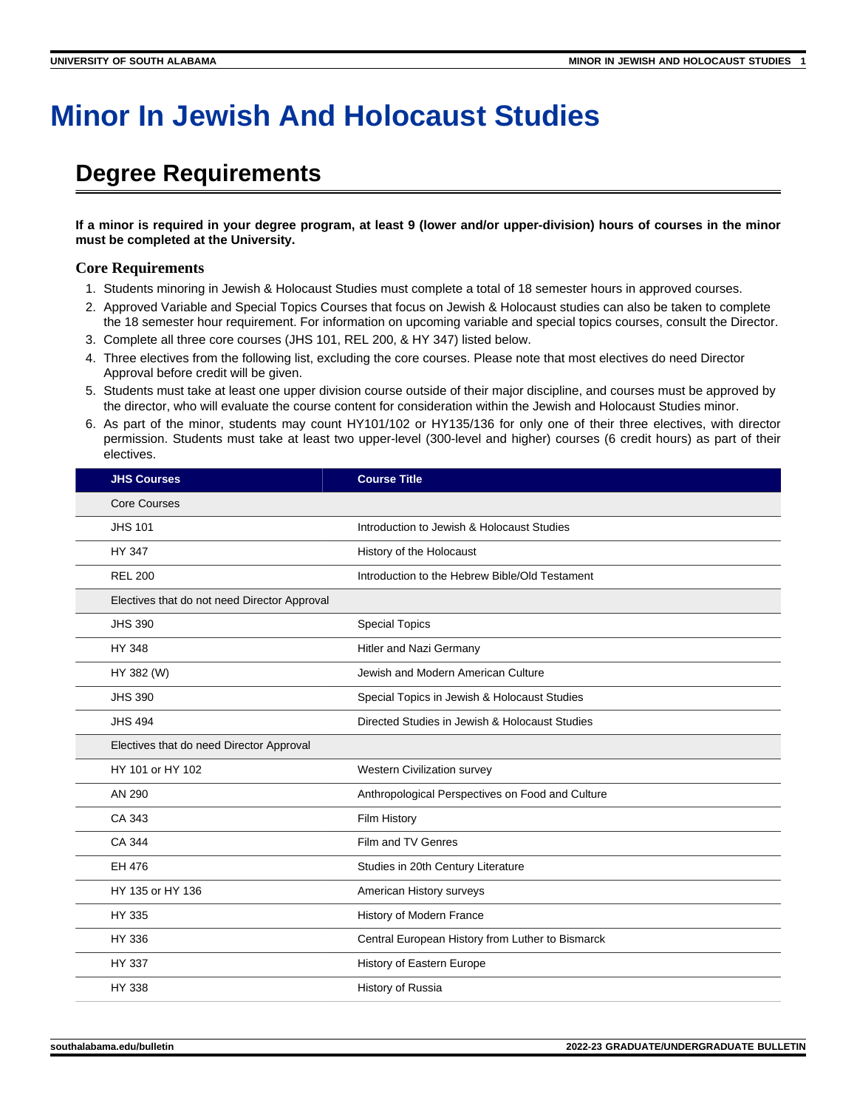## **Minor In Jewish And Holocaust Studies**

## **Degree Requirements**

**If a minor is required in your degree program, at least 9 (lower and/or upper-division) hours of courses in the minor must be completed at the University.**

## **Core Requirements**

- 1. Students minoring in Jewish & Holocaust Studies must complete a total of 18 semester hours in approved courses.
- 2. Approved Variable and Special Topics Courses that focus on Jewish & Holocaust studies can also be taken to complete the 18 semester hour requirement. For information on upcoming variable and special topics courses, consult the Director.
- 3. Complete all three core courses (JHS 101, REL 200, & HY 347) listed below.
- 4. Three electives from the following list, excluding the core courses. Please note that most electives do need Director Approval before credit will be given.
- 5. Students must take at least one upper division course outside of their major discipline, and courses must be approved by the director, who will evaluate the course content for consideration within the Jewish and Holocaust Studies minor.
- 6. As part of the minor, students may count HY101/102 or HY135/136 for only one of their three electives, with director permission. Students must take at least two upper-level (300-level and higher) courses (6 credit hours) as part of their electives.

| <b>JHS Courses</b>                           | <b>Course Title</b>                              |
|----------------------------------------------|--------------------------------------------------|
| <b>Core Courses</b>                          |                                                  |
| <b>JHS 101</b>                               | Introduction to Jewish & Holocaust Studies       |
| <b>HY 347</b>                                | History of the Holocaust                         |
| <b>REL 200</b>                               | Introduction to the Hebrew Bible/Old Testament   |
| Electives that do not need Director Approval |                                                  |
| <b>JHS 390</b>                               | <b>Special Topics</b>                            |
| <b>HY 348</b>                                | Hitler and Nazi Germany                          |
| HY 382 (W)                                   | Jewish and Modern American Culture               |
| <b>JHS 390</b>                               | Special Topics in Jewish & Holocaust Studies     |
| <b>JHS 494</b>                               | Directed Studies in Jewish & Holocaust Studies   |
| Electives that do need Director Approval     |                                                  |
| HY 101 or HY 102                             | Western Civilization survey                      |
| AN 290                                       | Anthropological Perspectives on Food and Culture |
| CA 343                                       | Film History                                     |
| CA 344                                       | Film and TV Genres                               |
| EH 476                                       | Studies in 20th Century Literature               |
| HY 135 or HY 136                             | American History surveys                         |
| HY 335                                       | History of Modern France                         |
| HY 336                                       | Central European History from Luther to Bismarck |
| HY 337                                       | History of Eastern Europe                        |
| HY 338                                       | History of Russia                                |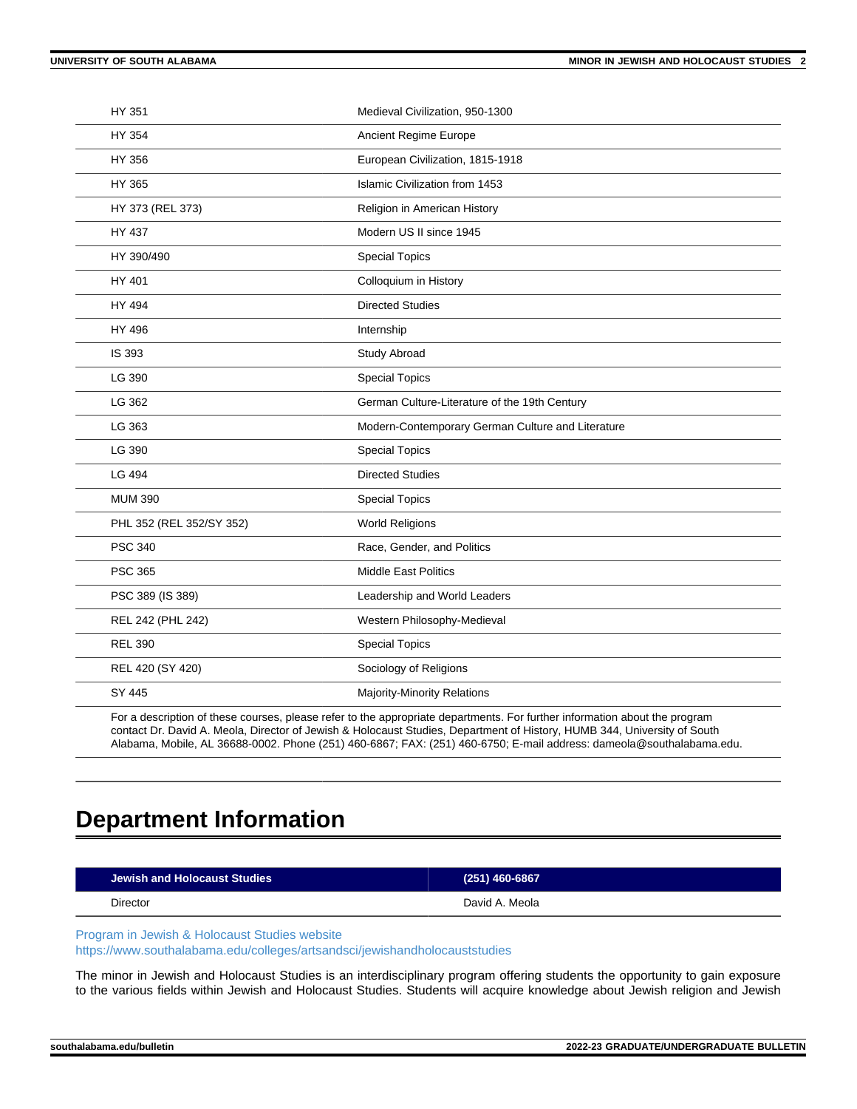| HY 351                   | Medieval Civilization, 950-1300                   |
|--------------------------|---------------------------------------------------|
| HY 354                   | Ancient Regime Europe                             |
| HY 356                   | European Civilization, 1815-1918                  |
| HY 365                   | <b>Islamic Civilization from 1453</b>             |
| HY 373 (REL 373)         | Religion in American History                      |
| HY 437                   | Modern US II since 1945                           |
| HY 390/490               | <b>Special Topics</b>                             |
| HY 401                   | Colloquium in History                             |
| HY 494                   | <b>Directed Studies</b>                           |
| HY 496                   | Internship                                        |
| IS 393                   | Study Abroad                                      |
| LG 390                   | <b>Special Topics</b>                             |
| LG 362                   | German Culture-Literature of the 19th Century     |
| LG 363                   | Modern-Contemporary German Culture and Literature |
| LG 390                   | <b>Special Topics</b>                             |
| LG 494                   | <b>Directed Studies</b>                           |
| <b>MUM 390</b>           | <b>Special Topics</b>                             |
| PHL 352 (REL 352/SY 352) | <b>World Religions</b>                            |
| <b>PSC 340</b>           | Race, Gender, and Politics                        |
| <b>PSC 365</b>           | <b>Middle East Politics</b>                       |
| PSC 389 (IS 389)         | Leadership and World Leaders                      |
| REL 242 (PHL 242)        | Western Philosophy-Medieval                       |
| <b>REL 390</b>           | <b>Special Topics</b>                             |
| REL 420 (SY 420)         | Sociology of Religions                            |
| SY 445                   | <b>Majority-Minority Relations</b>                |
|                          |                                                   |

For a description of these courses, please refer to the appropriate departments. For further information about the program contact Dr. David A. Meola, Director of Jewish & Holocaust Studies, Department of History, HUMB 344, University of South Alabama, Mobile, AL 36688-0002. Phone (251) 460-6867; FAX: (251) 460-6750; E-mail address: dameola@southalabama.edu.

## **Department Information**

| Jewish and Holocaust Studies | $(251)$ 460-6867 |
|------------------------------|------------------|
| Director                     | David A. Meola   |
|                              |                  |

[Program in Jewish & Holocaust Studies website](https://www.southalabama.edu/colleges/artsandsci/jewishandholocauststudies)

[https://www.southalabama.edu/colleges/artsandsci/jewishandholocauststudies](https://www.southalabama.edu/colleges/artsandsci/jewishandholocauststudies/)

The minor in Jewish and Holocaust Studies is an interdisciplinary program offering students the opportunity to gain exposure to the various fields within Jewish and Holocaust Studies. Students will acquire knowledge about Jewish religion and Jewish